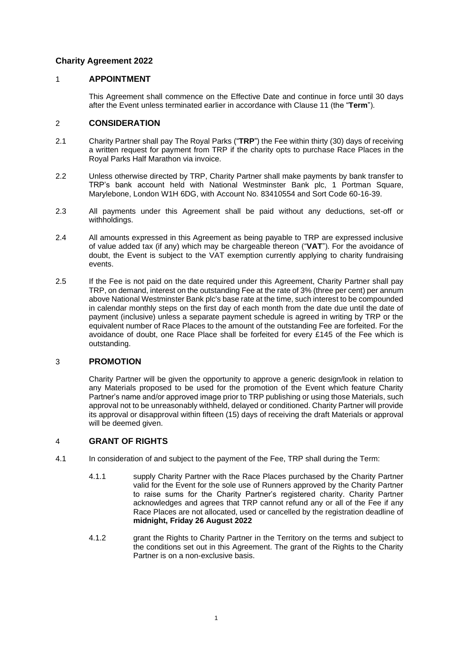# **Charity Agreement 2022**

## <span id="page-0-0"></span>1 **APPOINTMENT**

This Agreement shall commence on the Effective Date and continue in force until 30 days after the Event unless terminated earlier in accordance with Clause [11](#page-6-0) (the "**Term**").

### 2 **CONSIDERATION**

- 2.1 Charity Partner shall pay The Royal Parks ("**TRP**") the Fee within thirty (30) days of receiving a written request for payment from TRP if the charity opts to purchase Race Places in the Royal Parks Half Marathon via invoice.
- 2.2 Unless otherwise directed by TRP, Charity Partner shall make payments by bank transfer to TRP's bank account held with National Westminster Bank plc, 1 Portman Square, Marylebone, London W1H 6DG, with Account No. 83410554 and Sort Code 60-16-39.
- 2.3 All payments under this Agreement shall be paid without any deductions, set-off or withholdings.
- 2.4 All amounts expressed in this Agreement as being payable to TRP are expressed inclusive of value added tax (if any) which may be chargeable thereon ("**VAT**"). For the avoidance of doubt, the Event is subject to the VAT exemption currently applying to charity fundraising events.
- 2.5 If the Fee is not paid on the date required under this Agreement, Charity Partner shall pay TRP, on demand, interest on the outstanding Fee at the rate of 3% (three per cent) per annum above National Westminster Bank plc's base rate at the time, such interest to be compounded in calendar monthly steps on the first day of each month from the date due until the date of payment (inclusive) unless a separate payment schedule is agreed in writing by TRP or the equivalent number of Race Places to the amount of the outstanding Fee are forfeited. For the avoidance of doubt, one Race Place shall be forfeited for every £145 of the Fee which is outstanding.

## 3 **PROMOTION**

Charity Partner will be given the opportunity to approve a generic design/look in relation to any Materials proposed to be used for the promotion of the Event which feature Charity Partner's name and/or approved image prior to TRP publishing or using those Materials, such approval not to be unreasonably withheld, delayed or conditioned. Charity Partner will provide its approval or disapproval within fifteen (15) days of receiving the draft Materials or approval will be deemed given.

## 4 **GRANT OF RIGHTS**

- 4.1 In consideration of and subject to the payment of the Fee, TRP shall during the Term:
	- 4.1.1 supply Charity Partner with the Race Places purchased by the Charity Partner valid for the Event for the sole use of Runners approved by the Charity Partner to raise sums for the Charity Partner's registered charity. Charity Partner acknowledges and agrees that TRP cannot refund any or all of the Fee if any Race Places are not allocated, used or cancelled by the registration deadline of **midnight, Friday 26 August 2022**
	- 4.1.2 grant the Rights to Charity Partner in the Territory on the terms and subject to the conditions set out in this Agreement. The grant of the Rights to the Charity Partner is on a non-exclusive basis.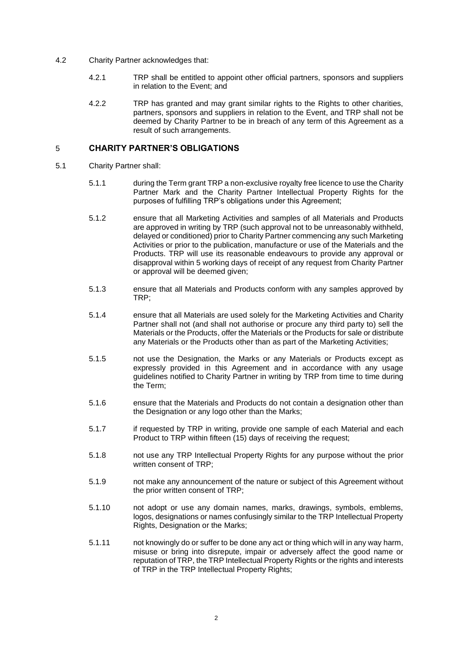- 4.2 Charity Partner acknowledges that:
	- 4.2.1 TRP shall be entitled to appoint other official partners, sponsors and suppliers in relation to the Event; and
	- 4.2.2 TRP has granted and may grant similar rights to the Rights to other charities, partners, sponsors and suppliers in relation to the Event, and TRP shall not be deemed by Charity Partner to be in breach of any term of this Agreement as a result of such arrangements.

## <span id="page-1-0"></span>5 **CHARITY PARTNER'S OBLIGATIONS**

- 5.1 Charity Partner shall:
	- 5.1.1 during the Term grant TRP a non-exclusive royalty free licence to use the Charity Partner Mark and the Charity Partner Intellectual Property Rights for the purposes of fulfilling TRP's obligations under this Agreement;
	- 5.1.2 ensure that all Marketing Activities and samples of all Materials and Products are approved in writing by TRP (such approval not to be unreasonably withheld, delayed or conditioned) prior to Charity Partner commencing any such Marketing Activities or prior to the publication, manufacture or use of the Materials and the Products. TRP will use its reasonable endeavours to provide any approval or disapproval within 5 working days of receipt of any request from Charity Partner or approval will be deemed given;
	- 5.1.3 ensure that all Materials and Products conform with any samples approved by TRP;
	- 5.1.4 ensure that all Materials are used solely for the Marketing Activities and Charity Partner shall not (and shall not authorise or procure any third party to) sell the Materials or the Products, offer the Materials or the Products for sale or distribute any Materials or the Products other than as part of the Marketing Activities;
	- 5.1.5 not use the Designation, the Marks or any Materials or Products except as expressly provided in this Agreement and in accordance with any usage guidelines notified to Charity Partner in writing by TRP from time to time during the Term;
	- 5.1.6 ensure that the Materials and Products do not contain a designation other than the Designation or any logo other than the Marks;
	- 5.1.7 if requested by TRP in writing, provide one sample of each Material and each Product to TRP within fifteen (15) days of receiving the request;
	- 5.1.8 not use any TRP Intellectual Property Rights for any purpose without the prior written consent of TRP;
	- 5.1.9 not make any announcement of the nature or subject of this Agreement without the prior written consent of TRP;
	- 5.1.10 not adopt or use any domain names, marks, drawings, symbols, emblems, logos, designations or names confusingly similar to the TRP Intellectual Property Rights, Designation or the Marks;
	- 5.1.11 ont knowingly do or suffer to be done any act or thing which will in any way harm, misuse or bring into disrepute, impair or adversely affect the good name or reputation of TRP, the TRP Intellectual Property Rights or the rights and interests of TRP in the TRP Intellectual Property Rights;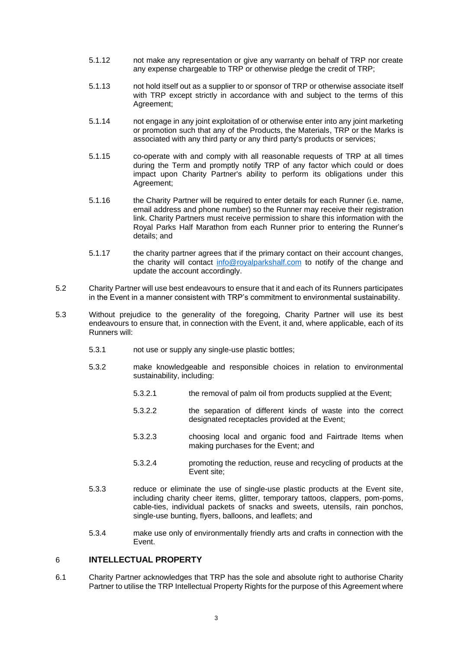- 5.1.12 not make any representation or give any warranty on behalf of TRP nor create any expense chargeable to TRP or otherwise pledge the credit of TRP;
- 5.1.13 not hold itself out as a supplier to or sponsor of TRP or otherwise associate itself with TRP except strictly in accordance with and subject to the terms of this Agreement;
- 5.1.14 not engage in any joint exploitation of or otherwise enter into any joint marketing or promotion such that any of the Products, the Materials, TRP or the Marks is associated with any third party or any third party's products or services;
- 5.1.15 co-operate with and comply with all reasonable requests of TRP at all times during the Term and promptly notify TRP of any factor which could or does impact upon Charity Partner's ability to perform its obligations under this Agreement;
- 5.1.16 the Charity Partner will be required to enter details for each Runner (i.e. name, email address and phone number) so the Runner may receive their registration link. Charity Partners must receive permission to share this information with the Royal Parks Half Marathon from each Runner prior to entering the Runner's details; and
- 5.1.17 the charity partner agrees that if the primary contact on their account changes, the charity will contact [info@royalparkshalf.com](mailto:info@royalparkshalf.com) to notify of the change and update the account accordingly.
- 5.2 Charity Partner will use best endeavours to ensure that it and each of its Runners participates in the Event in a manner consistent with TRP's commitment to environmental sustainability.
- 5.3 Without prejudice to the generality of the foregoing, Charity Partner will use its best endeavours to ensure that, in connection with the Event, it and, where applicable, each of its Runners will:
	- 5.3.1 not use or supply any single-use plastic bottles;
	- 5.3.2 make knowledgeable and responsible choices in relation to environmental sustainability, including:
		- 5.3.2.1 the removal of palm oil from products supplied at the Event;
		- 5.3.2.2 the separation of different kinds of waste into the correct designated receptacles provided at the Event;
		- 5.3.2.3 choosing local and organic food and Fairtrade Items when making purchases for the Event; and
		- 5.3.2.4 promoting the reduction, reuse and recycling of products at the Event site;
	- 5.3.3 reduce or eliminate the use of single-use plastic products at the Event site, including charity cheer items, glitter, temporary tattoos, clappers, pom-poms, cable-ties, individual packets of snacks and sweets, utensils, rain ponchos, single-use bunting, flyers, balloons, and leaflets; and
	- 5.3.4 make use only of environmentally friendly arts and crafts in connection with the Event.

## 6 **INTELLECTUAL PROPERTY**

6.1 Charity Partner acknowledges that TRP has the sole and absolute right to authorise Charity Partner to utilise the TRP Intellectual Property Rights for the purpose of this Agreement where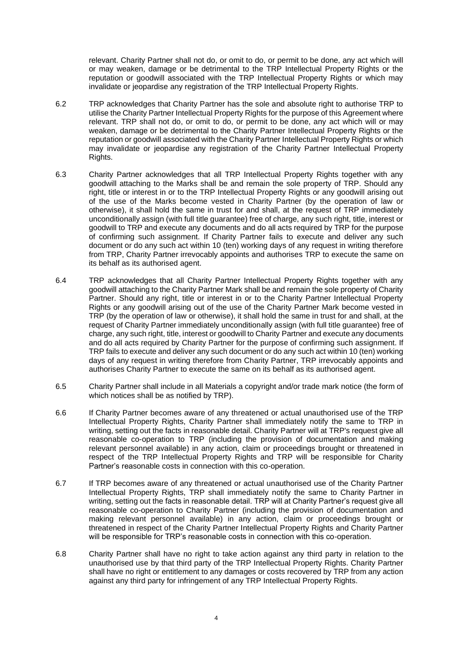relevant. Charity Partner shall not do, or omit to do, or permit to be done, any act which will or may weaken, damage or be detrimental to the TRP Intellectual Property Rights or the reputation or goodwill associated with the TRP Intellectual Property Rights or which may invalidate or jeopardise any registration of the TRP Intellectual Property Rights.

- 6.2 TRP acknowledges that Charity Partner has the sole and absolute right to authorise TRP to utilise the Charity Partner Intellectual Property Rights for the purpose of this Agreement where relevant. TRP shall not do, or omit to do, or permit to be done, any act which will or may weaken, damage or be detrimental to the Charity Partner Intellectual Property Rights or the reputation or goodwill associated with the Charity Partner Intellectual Property Rights or which may invalidate or jeopardise any registration of the Charity Partner Intellectual Property Rights.
- 6.3 Charity Partner acknowledges that all TRP Intellectual Property Rights together with any goodwill attaching to the Marks shall be and remain the sole property of TRP. Should any right, title or interest in or to the TRP Intellectual Property Rights or any goodwill arising out of the use of the Marks become vested in Charity Partner (by the operation of law or otherwise), it shall hold the same in trust for and shall, at the request of TRP immediately unconditionally assign (with full title guarantee) free of charge, any such right, title, interest or goodwill to TRP and execute any documents and do all acts required by TRP for the purpose of confirming such assignment. If Charity Partner fails to execute and deliver any such document or do any such act within 10 (ten) working days of any request in writing therefore from TRP, Charity Partner irrevocably appoints and authorises TRP to execute the same on its behalf as its authorised agent.
- 6.4 TRP acknowledges that all Charity Partner Intellectual Property Rights together with any goodwill attaching to the Charity Partner Mark shall be and remain the sole property of Charity Partner. Should any right, title or interest in or to the Charity Partner Intellectual Property Rights or any goodwill arising out of the use of the Charity Partner Mark become vested in TRP (by the operation of law or otherwise), it shall hold the same in trust for and shall, at the request of Charity Partner immediately unconditionally assign (with full title guarantee) free of charge, any such right, title, interest or goodwill to Charity Partner and execute any documents and do all acts required by Charity Partner for the purpose of confirming such assignment. If TRP fails to execute and deliver any such document or do any such act within 10 (ten) working days of any request in writing therefore from Charity Partner, TRP irrevocably appoints and authorises Charity Partner to execute the same on its behalf as its authorised agent.
- 6.5 Charity Partner shall include in all Materials a copyright and/or trade mark notice (the form of which notices shall be as notified by TRP).
- 6.6 If Charity Partner becomes aware of any threatened or actual unauthorised use of the TRP Intellectual Property Rights, Charity Partner shall immediately notify the same to TRP in writing, setting out the facts in reasonable detail. Charity Partner will at TRP's request give all reasonable co-operation to TRP (including the provision of documentation and making relevant personnel available) in any action, claim or proceedings brought or threatened in respect of the TRP Intellectual Property Rights and TRP will be responsible for Charity Partner's reasonable costs in connection with this co-operation.
- 6.7 If TRP becomes aware of any threatened or actual unauthorised use of the Charity Partner Intellectual Property Rights, TRP shall immediately notify the same to Charity Partner in writing, setting out the facts in reasonable detail. TRP will at Charity Partner's request give all reasonable co-operation to Charity Partner (including the provision of documentation and making relevant personnel available) in any action, claim or proceedings brought or threatened in respect of the Charity Partner Intellectual Property Rights and Charity Partner will be responsible for TRP's reasonable costs in connection with this co-operation.
- 6.8 Charity Partner shall have no right to take action against any third party in relation to the unauthorised use by that third party of the TRP Intellectual Property Rights. Charity Partner shall have no right or entitlement to any damages or costs recovered by TRP from any action against any third party for infringement of any TRP Intellectual Property Rights.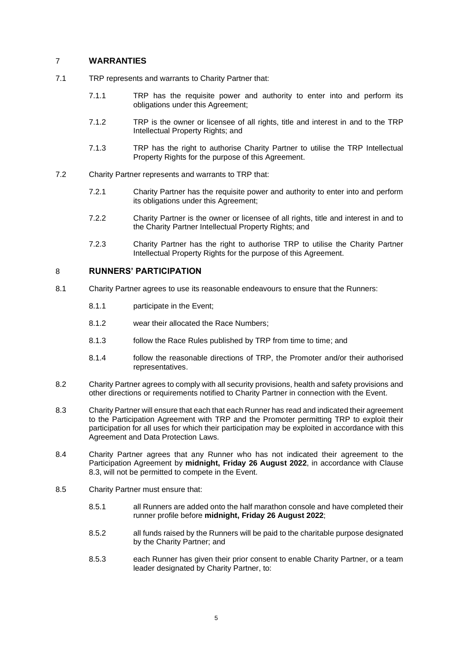## 7 **WARRANTIES**

- 7.1 TRP represents and warrants to Charity Partner that:
	- 7.1.1 TRP has the requisite power and authority to enter into and perform its obligations under this Agreement;
	- 7.1.2 TRP is the owner or licensee of all rights, title and interest in and to the TRP Intellectual Property Rights; and
	- 7.1.3 TRP has the right to authorise Charity Partner to utilise the TRP Intellectual Property Rights for the purpose of this Agreement.
- 7.2 Charity Partner represents and warrants to TRP that:
	- 7.2.1 Charity Partner has the requisite power and authority to enter into and perform its obligations under this Agreement;
	- 7.2.2 Charity Partner is the owner or licensee of all rights, title and interest in and to the Charity Partner Intellectual Property Rights; and
	- 7.2.3 Charity Partner has the right to authorise TRP to utilise the Charity Partner Intellectual Property Rights for the purpose of this Agreement.

## 8 **RUNNERS' PARTICIPATION**

- 8.1 Charity Partner agrees to use its reasonable endeavours to ensure that the Runners:
	- 8.1.1 participate in the Event;
	- 8.1.2 wear their allocated the Race Numbers;
	- 8.1.3 follow the Race Rules published by TRP from time to time; and
	- 8.1.4 follow the reasonable directions of TRP, the Promoter and/or their authorised representatives.
- 8.2 Charity Partner agrees to comply with all security provisions, health and safety provisions and other directions or requirements notified to Charity Partner in connection with the Event.
- <span id="page-4-0"></span>8.3 Charity Partner will ensure that each that each Runner has read and indicated their agreement to the Participation Agreement with TRP and the Promoter permitting TRP to exploit their participation for all uses for which their participation may be exploited in accordance with this Agreement and Data Protection Laws.
- 8.4 Charity Partner agrees that any Runner who has not indicated their agreement to the Participation Agreement by **midnight, Friday 26 August 2022**, in accordance with Clause [8.3,](#page-4-0) will not be permitted to compete in the Event.
- <span id="page-4-1"></span>8.5 Charity Partner must ensure that:
	- 8.5.1 all Runners are added onto the half marathon console and have completed their runner profile before **midnight, Friday 26 August 2022**;
	- 8.5.2 all funds raised by the Runners will be paid to the charitable purpose designated by the Charity Partner; and
	- 8.5.3 each Runner has given their prior consent to enable Charity Partner, or a team leader designated by Charity Partner, to: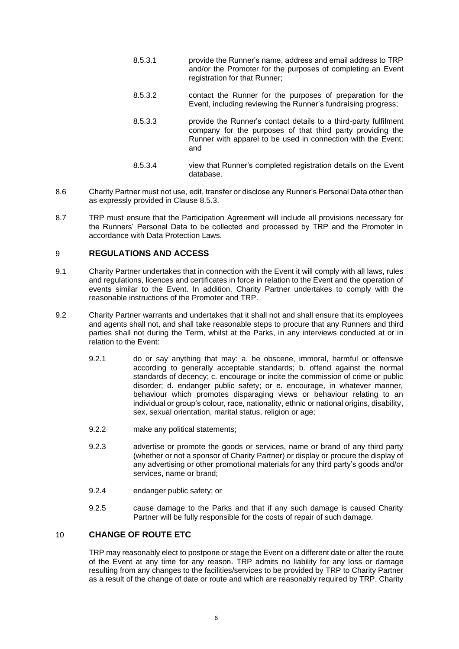- 8.5.3.1 provide the Runner's name, address and email address to TRP and/or the Promoter for the purposes of completing an Event registration for that Runner:
- 8.5.3.2 contact the Runner for the purposes of preparation for the Event, including reviewing the Runner's fundraising progress;
- 8.5.3.3 provide the Runner's contact details to a third-party fulfilment company for the purposes of that third party providing the Runner with apparel to be used in connection with the Event; and
- 8.5.3.4 view that Runner's completed registration details on the Event database.
- 8.6 Charity Partner must not use, edit, transfer or disclose any Runner's Personal Data other than as expressly provided in Clause [8.5.3.](#page-4-1)
- 8.7 TRP must ensure that the Participation Agreement will include all provisions necessary for the Runners' Personal Data to be collected and processed by TRP and the Promoter in accordance with Data Protection Laws.

## <span id="page-5-0"></span>9 **REGULATIONS AND ACCESS**

- 9.1 Charity Partner undertakes that in connection with the Event it will comply with all laws, rules and regulations, licences and certificates in force in relation to the Event and the operation of events similar to the Event. In addition, Charity Partner undertakes to comply with the reasonable instructions of the Promoter and TRP.
- 9.2 Charity Partner warrants and undertakes that it shall not and shall ensure that its employees and agents shall not, and shall take reasonable steps to procure that any Runners and third parties shall not during the Term, whilst at the Parks, in any interviews conducted at or in relation to the Event:
	- 9.2.1 do or say anything that may: a. be obscene, immoral, harmful or offensive according to generally acceptable standards; b. offend against the normal standards of decency; c. encourage or incite the commission of crime or public disorder; d. endanger public safety; or e. encourage, in whatever manner, behaviour which promotes disparaging views or behaviour relating to an individual or group's colour, race, nationality, ethnic or national origins, disability, sex, sexual orientation, marital status, religion or age;
	- 9.2.2 make any political statements;
	- 9.2.3 advertise or promote the goods or services, name or brand of any third party (whether or not a sponsor of Charity Partner) or display or procure the display of any advertising or other promotional materials for any third party's goods and/or services, name or brand;
	- 9.2.4 endanger public safety; or
	- 9.2.5 cause damage to the Parks and that if any such damage is caused Charity Partner will be fully responsible for the costs of repair of such damage.

# 10 **CHANGE OF ROUTE ETC**

TRP may reasonably elect to postpone or stage the Event on a different date or alter the route of the Event at any time for any reason. TRP admits no liability for any loss or damage resulting from any changes to the facilities/services to be provided by TRP to Charity Partner as a result of the change of date or route and which are reasonably required by TRP. Charity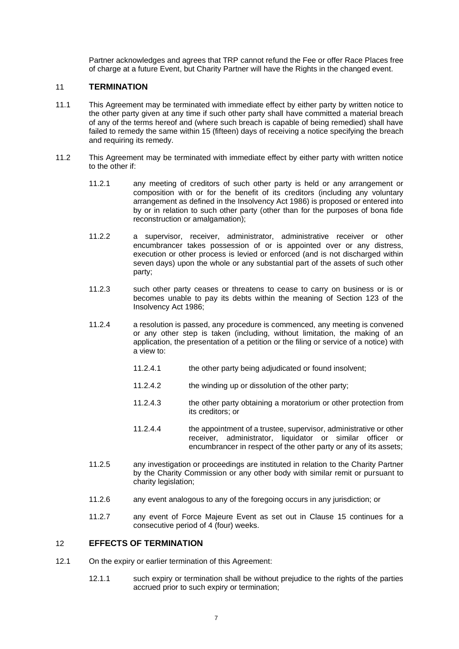Partner acknowledges and agrees that TRP cannot refund the Fee or offer Race Places free of charge at a future Event, but Charity Partner will have the Rights in the changed event.

### <span id="page-6-0"></span>11 **TERMINATION**

- 11.1 This Agreement may be terminated with immediate effect by either party by written notice to the other party given at any time if such other party shall have committed a material breach of any of the terms hereof and (where such breach is capable of being remedied) shall have failed to remedy the same within 15 (fifteen) days of receiving a notice specifying the breach and requiring its remedy.
- 11.2 This Agreement may be terminated with immediate effect by either party with written notice to the other if:
	- 11.2.1 any meeting of creditors of such other party is held or any arrangement or composition with or for the benefit of its creditors (including any voluntary arrangement as defined in the Insolvency Act 1986) is proposed or entered into by or in relation to such other party (other than for the purposes of bona fide reconstruction or amalgamation);
	- 11.2.2 a supervisor, receiver, administrator, administrative receiver or other encumbrancer takes possession of or is appointed over or any distress, execution or other process is levied or enforced (and is not discharged within seven days) upon the whole or any substantial part of the assets of such other party;
	- 11.2.3 such other party ceases or threatens to cease to carry on business or is or becomes unable to pay its debts within the meaning of Section 123 of the Insolvency Act 1986;
	- 11.2.4 a resolution is passed, any procedure is commenced, any meeting is convened or any other step is taken (including, without limitation, the making of an application, the presentation of a petition or the filing or service of a notice) with a view to:
		- 11.2.4.1 the other party being adjudicated or found insolvent;
		- 11.2.4.2 the winding up or dissolution of the other party;
		- 11.2.4.3 the other party obtaining a moratorium or other protection from its creditors; or
		- 11.2.4.4 the appointment of a trustee, supervisor, administrative or other receiver, administrator, liquidator or similar officer or encumbrancer in respect of the other party or any of its assets;
	- 11.2.5 any investigation or proceedings are instituted in relation to the Charity Partner by the Charity Commission or any other body with similar remit or pursuant to charity legislation;
	- 11.2.6 any event analogous to any of the foregoing occurs in any jurisdiction; or
	- 11.2.7 any event of Force Majeure Event as set out in Clause [15](#page-8-0) continues for a consecutive period of 4 (four) weeks.

#### <span id="page-6-1"></span>12 **EFFECTS OF TERMINATION**

- 12.1 On the expiry or earlier termination of this Agreement:
	- 12.1.1 such expiry or termination shall be without prejudice to the rights of the parties accrued prior to such expiry or termination;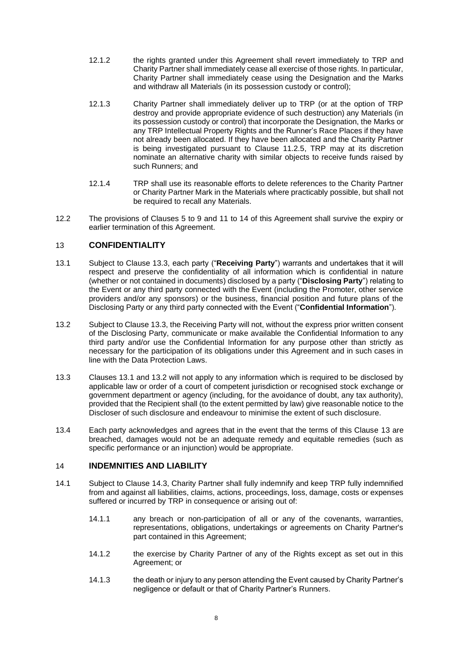- 12.1.2 the rights granted under this Agreement shall revert immediately to TRP and Charity Partner shall immediately cease all exercise of those rights. In particular, Charity Partner shall immediately cease using the Designation and the Marks and withdraw all Materials (in its possession custody or control);
- 12.1.3 Charity Partner shall immediately deliver up to TRP (or at the option of TRP destroy and provide appropriate evidence of such destruction) any Materials (in its possession custody or control) that incorporate the Designation, the Marks or any TRP Intellectual Property Rights and the Runner's Race Places if they have not already been allocated. If they have been allocated and the Charity Partner is being investigated pursuant to Clause [11.2.5,](#page-6-1) TRP may at its discretion nominate an alternative charity with similar objects to receive funds raised by such Runners; and
- 12.1.4 TRP shall use its reasonable efforts to delete references to the Charity Partner or Charity Partner Mark in the Materials where practicably possible, but shall not be required to recall any Materials.
- 12.2 The provisions of Clauses [5](#page-1-0) to [9](#page-5-0) and [11](#page-6-0) to [14](#page-7-0) of this Agreement shall survive the expiry or earlier termination of this Agreement.

# <span id="page-7-4"></span>13 **CONFIDENTIALITY**

- <span id="page-7-2"></span>13.1 Subject to Clause [13.3,](#page-7-1) each party ("**Receiving Party**") warrants and undertakes that it will respect and preserve the confidentiality of all information which is confidential in nature (whether or not contained in documents) disclosed by a party ("**Disclosing Party**") relating to the Event or any third party connected with the Event (including the Promoter, other service providers and/or any sponsors) or the business, financial position and future plans of the Disclosing Party or any third party connected with the Event ("**Confidential Information**").
- <span id="page-7-3"></span>13.2 Subject to Clause [13.3,](#page-7-1) the Receiving Party will not, without the express prior written consent of the Disclosing Party, communicate or make available the Confidential Information to any third party and/or use the Confidential Information for any purpose other than strictly as necessary for the participation of its obligations under this Agreement and in such cases in line with the Data Protection Laws.
- <span id="page-7-1"></span>13.3 Clauses [13.1](#page-7-2) and [13.2](#page-7-3) will not apply to any information which is required to be disclosed by applicable law or order of a court of competent jurisdiction or recognised stock exchange or government department or agency (including, for the avoidance of doubt, any tax authority), provided that the Recipient shall (to the extent permitted by law) give reasonable notice to the Discloser of such disclosure and endeavour to minimise the extent of such disclosure.
- 13.4 Each party acknowledges and agrees that in the event that the terms of this Clause [13](#page-7-4) are breached, damages would not be an adequate remedy and equitable remedies (such as specific performance or an injunction) would be appropriate.

## <span id="page-7-0"></span>14 **INDEMNITIES AND LIABILITY**

- <span id="page-7-5"></span>14.1 Subject to Clause [14.3,](#page-8-1) Charity Partner shall fully indemnify and keep TRP fully indemnified from and against all liabilities, claims, actions, proceedings, loss, damage, costs or expenses suffered or incurred by TRP in consequence or arising out of:
	- 14.1.1 any breach or non-participation of all or any of the covenants, warranties, representations, obligations, undertakings or agreements on Charity Partner's part contained in this Agreement;
	- 14.1.2 the exercise by Charity Partner of any of the Rights except as set out in this Agreement; or
	- 14.1.3 the death or injury to any person attending the Event caused by Charity Partner's negligence or default or that of Charity Partner's Runners.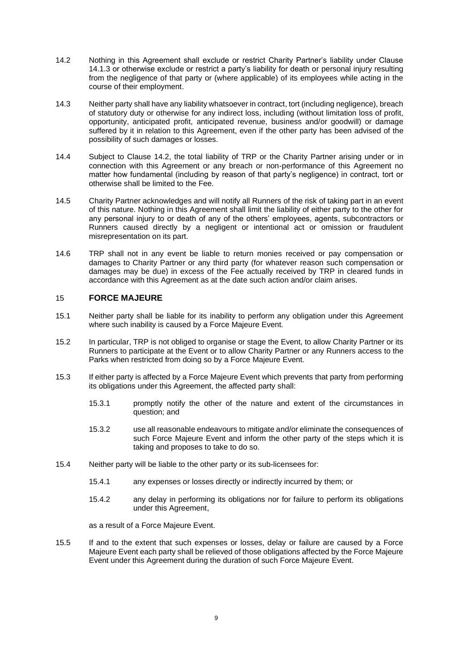- <span id="page-8-2"></span>14.2 Nothing in this Agreement shall exclude or restrict Charity Partner's liability under Clause [14.1.3](#page-7-5) or otherwise exclude or restrict a party's liability for death or personal injury resulting from the negligence of that party or (where applicable) of its employees while acting in the course of their employment.
- <span id="page-8-1"></span>14.3 Neither party shall have any liability whatsoever in contract, tort (including negligence), breach of statutory duty or otherwise for any indirect loss, including (without limitation loss of profit, opportunity, anticipated profit, anticipated revenue, business and/or goodwill) or damage suffered by it in relation to this Agreement, even if the other party has been advised of the possibility of such damages or losses.
- 14.4 Subject to Clause [14.2,](#page-8-2) the total liability of TRP or the Charity Partner arising under or in connection with this Agreement or any breach or non-performance of this Agreement no matter how fundamental (including by reason of that party's negligence) in contract, tort or otherwise shall be limited to the Fee.
- 14.5 Charity Partner acknowledges and will notify all Runners of the risk of taking part in an event of this nature. Nothing in this Agreement shall limit the liability of either party to the other for any personal injury to or death of any of the others' employees, agents, subcontractors or Runners caused directly by a negligent or intentional act or omission or fraudulent misrepresentation on its part.
- 14.6 TRP shall not in any event be liable to return monies received or pay compensation or damages to Charity Partner or any third party (for whatever reason such compensation or damages may be due) in excess of the Fee actually received by TRP in cleared funds in accordance with this Agreement as at the date such action and/or claim arises.

## <span id="page-8-0"></span>15 **FORCE MAJEURE**

- 15.1 Neither party shall be liable for its inability to perform any obligation under this Agreement where such inability is caused by a Force Majeure Event.
- 15.2 In particular, TRP is not obliged to organise or stage the Event, to allow Charity Partner or its Runners to participate at the Event or to allow Charity Partner or any Runners access to the Parks when restricted from doing so by a Force Majeure Event.
- 15.3 If either party is affected by a Force Majeure Event which prevents that party from performing its obligations under this Agreement, the affected party shall:
	- 15.3.1 promptly notify the other of the nature and extent of the circumstances in question; and
	- 15.3.2 use all reasonable endeavours to mitigate and/or eliminate the consequences of such Force Majeure Event and inform the other party of the steps which it is taking and proposes to take to do so.
- 15.4 Neither party will be liable to the other party or its sub-licensees for:
	- 15.4.1 any expenses or losses directly or indirectly incurred by them; or
	- 15.4.2 any delay in performing its obligations nor for failure to perform its obligations under this Agreement,

as a result of a Force Majeure Event.

15.5 If and to the extent that such expenses or losses, delay or failure are caused by a Force Majeure Event each party shall be relieved of those obligations affected by the Force Majeure Event under this Agreement during the duration of such Force Majeure Event.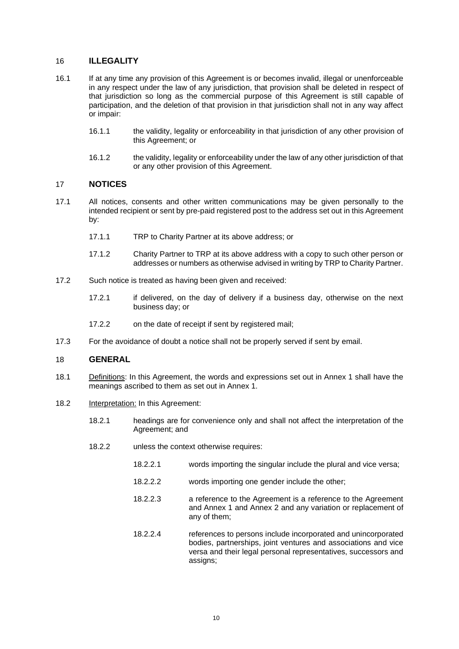# 16 **ILLEGALITY**

- 16.1 If at any time any provision of this Agreement is or becomes invalid, illegal or unenforceable in any respect under the law of any jurisdiction, that provision shall be deleted in respect of that jurisdiction so long as the commercial purpose of this Agreement is still capable of participation, and the deletion of that provision in that jurisdiction shall not in any way affect or impair:
	- 16.1.1 the validity, legality or enforceability in that jurisdiction of any other provision of this Agreement; or
	- 16.1.2 the validity, legality or enforceability under the law of any other jurisdiction of that or any other provision of this Agreement.

# 17 **NOTICES**

- 17.1 All notices, consents and other written communications may be given personally to the intended recipient or sent by pre-paid registered post to the address set out in this Agreement by:
	- 17.1.1 TRP to Charity Partner at its above address; or
	- 17.1.2 Charity Partner to TRP at its above address with a copy to such other person or addresses or numbers as otherwise advised in writing by TRP to Charity Partner.
- 17.2 Such notice is treated as having been given and received:
	- 17.2.1 if delivered, on the day of delivery if a business day, otherwise on the next business day; or
	- 17.2.2 on the date of receipt if sent by registered mail;
- 17.3 For the avoidance of doubt a notice shall not be properly served if sent by email.

## 18 **GENERAL**

- 18.1 Definitions: In this Agreement, the words and expressions set out in Annex 1 shall have the meanings ascribed to them as set out in Annex 1.
- 18.2 Interpretation: In this Agreement:
	- 18.2.1 headings are for convenience only and shall not affect the interpretation of the Agreement; and
	- 18.2.2 unless the context otherwise requires:
		- 18.2.2.1 words importing the singular include the plural and vice versa;
		- 18.2.2.2 words importing one gender include the other;
		- 18.2.2.3 a reference to the Agreement is a reference to the Agreement and Annex 1 and Annex 2 and any variation or replacement of any of them;
		- 18.2.2.4 references to persons include incorporated and unincorporated bodies, partnerships, joint ventures and associations and vice versa and their legal personal representatives, successors and assigns;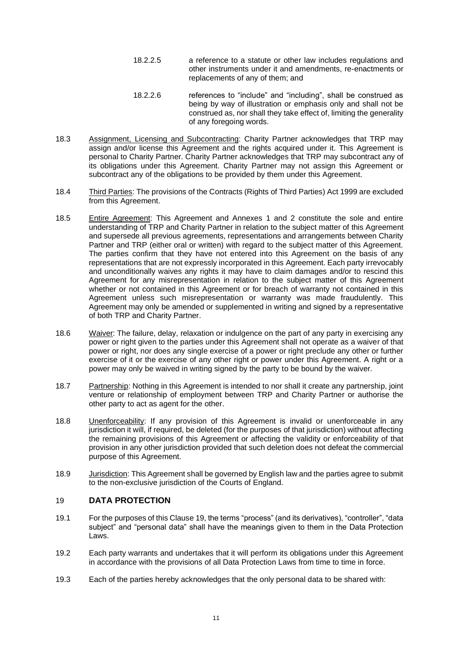- 18.2.2.5 a reference to a statute or other law includes regulations and other instruments under it and amendments, re-enactments or replacements of any of them; and
- 18.2.2.6 references to "include" and "including", shall be construed as being by way of illustration or emphasis only and shall not be construed as, nor shall they take effect of, limiting the generality of any foregoing words.
- 18.3 Assignment, Licensing and Subcontracting: Charity Partner acknowledges that TRP may assign and/or license this Agreement and the rights acquired under it. This Agreement is personal to Charity Partner. Charity Partner acknowledges that TRP may subcontract any of its obligations under this Agreement. Charity Partner may not assign this Agreement or subcontract any of the obligations to be provided by them under this Agreement.
- 18.4 Third Parties: The provisions of the Contracts (Rights of Third Parties) Act 1999 are excluded from this Agreement.
- 18.5 Entire Agreement: This Agreement and Annexes 1 and 2 constitute the sole and entire understanding of TRP and Charity Partner in relation to the subject matter of this Agreement and supersede all previous agreements, representations and arrangements between Charity Partner and TRP (either oral or written) with regard to the subject matter of this Agreement. The parties confirm that they have not entered into this Agreement on the basis of any representations that are not expressly incorporated in this Agreement. Each party irrevocably and unconditionally waives any rights it may have to claim damages and/or to rescind this Agreement for any misrepresentation in relation to the subject matter of this Agreement whether or not contained in this Agreement or for breach of warranty not contained in this Agreement unless such misrepresentation or warranty was made fraudulently. This Agreement may only be amended or supplemented in writing and signed by a representative of both TRP and Charity Partner.
- 18.6 Waiver: The failure, delay, relaxation or indulgence on the part of any party in exercising any power or right given to the parties under this Agreement shall not operate as a waiver of that power or right, nor does any single exercise of a power or right preclude any other or further exercise of it or the exercise of any other right or power under this Agreement. A right or a power may only be waived in writing signed by the party to be bound by the waiver.
- 18.7 Partnership: Nothing in this Agreement is intended to nor shall it create any partnership, joint venture or relationship of employment between TRP and Charity Partner or authorise the other party to act as agent for the other.
- 18.8 Unenforceability: If any provision of this Agreement is invalid or unenforceable in any jurisdiction it will, if required, be deleted (for the purposes of that jurisdiction) without affecting the remaining provisions of this Agreement or affecting the validity or enforceability of that provision in any other jurisdiction provided that such deletion does not defeat the commercial purpose of this Agreement.
- 18.9 Jurisdiction: This Agreement shall be governed by English law and the parties agree to submit to the non-exclusive jurisdiction of the Courts of England.

## <span id="page-10-0"></span>19 **DATA PROTECTION**

- 19.1 For the purposes of this Claus[e 19,](#page-10-0) the terms "process" (and its derivatives), "controller", "data subject" and "personal data" shall have the meanings given to them in the Data Protection Laws.
- 19.2 Each party warrants and undertakes that it will perform its obligations under this Agreement in accordance with the provisions of all Data Protection Laws from time to time in force.
- 19.3 Each of the parties hereby acknowledges that the only personal data to be shared with: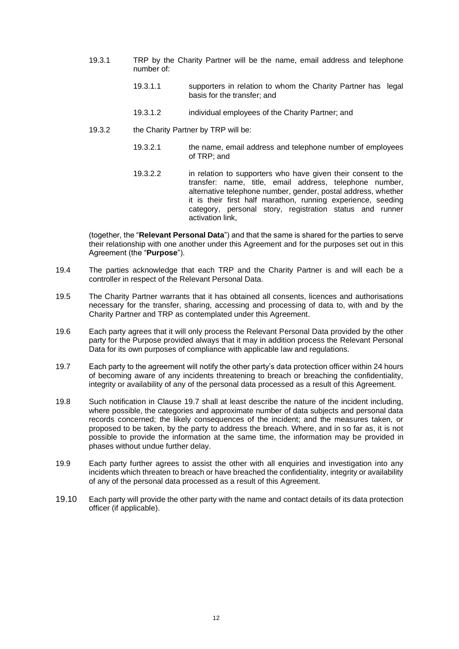- 19.3.1 TRP by the Charity Partner will be the name, email address and telephone number of:
	- 19.3.1.1 supporters in relation to whom the Charity Partner has legal basis for the transfer; and
	- 19.3.1.2 individual employees of the Charity Partner; and
- 19.3.2 the Charity Partner by TRP will be:
	- 19.3.2.1 the name, email address and telephone number of employees of TRP; and
	- 19.3.2.2 in relation to supporters who have given their consent to the transfer: name, title, email address, telephone number, alternative telephone number, gender, postal address, whether it is their first half marathon, running experience, seeding category, personal story, registration status and runner activation link,

(together, the "**Relevant Personal Data**") and that the same is shared for the parties to serve their relationship with one another under this Agreement and for the purposes set out in this Agreement (the "**Purpose**").

- 19.4 The parties acknowledge that each TRP and the Charity Partner is and will each be a controller in respect of the Relevant Personal Data.
- 19.5 The Charity Partner warrants that it has obtained all consents, licences and authorisations necessary for the transfer, sharing, accessing and processing of data to, with and by the Charity Partner and TRP as contemplated under this Agreement.
- 19.6 Each party agrees that it will only process the Relevant Personal Data provided by the other party for the Purpose provided always that it may in addition process the Relevant Personal Data for its own purposes of compliance with applicable law and regulations.
- <span id="page-11-0"></span>19.7 Each party to the agreement will notify the other party's data protection officer within 24 hours of becoming aware of any incidents threatening to breach or breaching the confidentiality, integrity or availability of any of the personal data processed as a result of this Agreement.
- 19.8 Such notification in Clause [19.7](#page-11-0) shall at least describe the nature of the incident including, where possible, the categories and approximate number of data subjects and personal data records concerned; the likely consequences of the incident; and the measures taken, or proposed to be taken, by the party to address the breach. Where, and in so far as, it is not possible to provide the information at the same time, the information may be provided in phases without undue further delay.
- 19.9 Each party further agrees to assist the other with all enquiries and investigation into any incidents which threaten to breach or have breached the confidentiality, integrity or availability of any of the personal data processed as a result of this Agreement.
- 19.10 Each party will provide the other party with the name and contact details of its data protection officer (if applicable).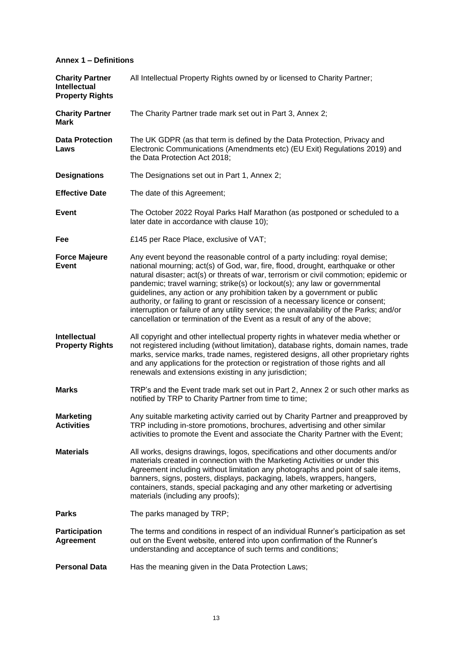# **Annex 1 – Definitions**

| <b>Charity Partner</b><br><b>Intellectual</b><br><b>Property Rights</b> | All Intellectual Property Rights owned by or licensed to Charity Partner;                                                                                                                                                                                                                                                                                                                                                                                                                                                                                                                                                                                                      |
|-------------------------------------------------------------------------|--------------------------------------------------------------------------------------------------------------------------------------------------------------------------------------------------------------------------------------------------------------------------------------------------------------------------------------------------------------------------------------------------------------------------------------------------------------------------------------------------------------------------------------------------------------------------------------------------------------------------------------------------------------------------------|
| <b>Charity Partner</b><br><b>Mark</b>                                   | The Charity Partner trade mark set out in Part 3, Annex 2;                                                                                                                                                                                                                                                                                                                                                                                                                                                                                                                                                                                                                     |
| <b>Data Protection</b><br>Laws                                          | The UK GDPR (as that term is defined by the Data Protection, Privacy and<br>Electronic Communications (Amendments etc) (EU Exit) Regulations 2019) and<br>the Data Protection Act 2018;                                                                                                                                                                                                                                                                                                                                                                                                                                                                                        |
| <b>Designations</b>                                                     | The Designations set out in Part 1, Annex 2;                                                                                                                                                                                                                                                                                                                                                                                                                                                                                                                                                                                                                                   |
| <b>Effective Date</b>                                                   | The date of this Agreement;                                                                                                                                                                                                                                                                                                                                                                                                                                                                                                                                                                                                                                                    |
| <b>Event</b>                                                            | The October 2022 Royal Parks Half Marathon (as postponed or scheduled to a<br>later date in accordance with clause 10);                                                                                                                                                                                                                                                                                                                                                                                                                                                                                                                                                        |
| Fee                                                                     | £145 per Race Place, exclusive of VAT;                                                                                                                                                                                                                                                                                                                                                                                                                                                                                                                                                                                                                                         |
| <b>Force Majeure</b><br><b>Event</b>                                    | Any event beyond the reasonable control of a party including: royal demise;<br>national mourning; act(s) of God, war, fire, flood, drought, earthquake or other<br>natural disaster; act(s) or threats of war, terrorism or civil commotion; epidemic or<br>pandemic; travel warning; strike(s) or lockout(s); any law or governmental<br>guidelines, any action or any prohibition taken by a government or public<br>authority, or failing to grant or rescission of a necessary licence or consent;<br>interruption or failure of any utility service; the unavailability of the Parks; and/or<br>cancellation or termination of the Event as a result of any of the above; |
| <b>Intellectual</b><br><b>Property Rights</b>                           | All copyright and other intellectual property rights in whatever media whether or<br>not registered including (without limitation), database rights, domain names, trade<br>marks, service marks, trade names, registered designs, all other proprietary rights<br>and any applications for the protection or registration of those rights and all<br>renewals and extensions existing in any jurisdiction;                                                                                                                                                                                                                                                                    |
| <b>Marks</b>                                                            | TRP's and the Event trade mark set out in Part 2, Annex 2 or such other marks as<br>notified by TRP to Charity Partner from time to time;                                                                                                                                                                                                                                                                                                                                                                                                                                                                                                                                      |
| <b>Marketing</b><br><b>Activities</b>                                   | Any suitable marketing activity carried out by Charity Partner and preapproved by<br>TRP including in-store promotions, brochures, advertising and other similar<br>activities to promote the Event and associate the Charity Partner with the Event;                                                                                                                                                                                                                                                                                                                                                                                                                          |
| <b>Materials</b>                                                        | All works, designs drawings, logos, specifications and other documents and/or<br>materials created in connection with the Marketing Activities or under this<br>Agreement including without limitation any photographs and point of sale items,<br>banners, signs, posters, displays, packaging, labels, wrappers, hangers,<br>containers, stands, special packaging and any other marketing or advertising<br>materials (including any proofs);                                                                                                                                                                                                                               |
| <b>Parks</b>                                                            | The parks managed by TRP;                                                                                                                                                                                                                                                                                                                                                                                                                                                                                                                                                                                                                                                      |
| <b>Participation</b><br><b>Agreement</b>                                | The terms and conditions in respect of an individual Runner's participation as set<br>out on the Event website, entered into upon confirmation of the Runner's<br>understanding and acceptance of such terms and conditions;                                                                                                                                                                                                                                                                                                                                                                                                                                                   |
| <b>Personal Data</b>                                                    | Has the meaning given in the Data Protection Laws;                                                                                                                                                                                                                                                                                                                                                                                                                                                                                                                                                                                                                             |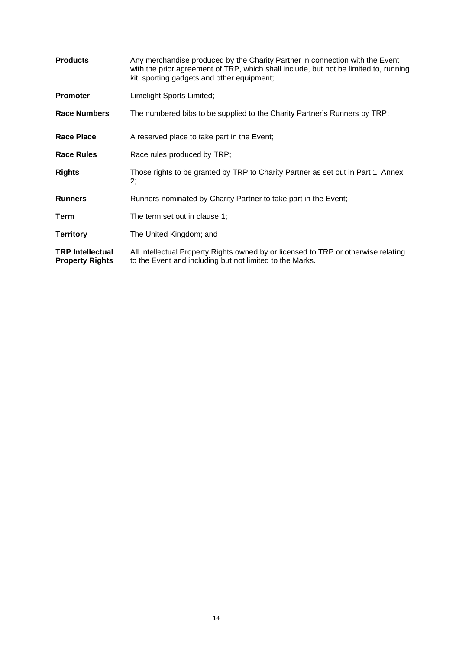| <b>Products</b>                                   | Any merchandise produced by the Charity Partner in connection with the Event<br>with the prior agreement of TRP, which shall include, but not be limited to, running<br>kit, sporting gadgets and other equipment; |
|---------------------------------------------------|--------------------------------------------------------------------------------------------------------------------------------------------------------------------------------------------------------------------|
| <b>Promoter</b>                                   | Limelight Sports Limited;                                                                                                                                                                                          |
| <b>Race Numbers</b>                               | The numbered bibs to be supplied to the Charity Partner's Runners by TRP;                                                                                                                                          |
| <b>Race Place</b>                                 | A reserved place to take part in the Event;                                                                                                                                                                        |
| Race Rules                                        | Race rules produced by TRP;                                                                                                                                                                                        |
| <b>Rights</b>                                     | Those rights to be granted by TRP to Charity Partner as set out in Part 1, Annex<br>2;                                                                                                                             |
| <b>Runners</b>                                    | Runners nominated by Charity Partner to take part in the Event;                                                                                                                                                    |
| <b>Term</b>                                       | The term set out in clause 1;                                                                                                                                                                                      |
| <b>Territory</b>                                  | The United Kingdom; and                                                                                                                                                                                            |
| <b>TRP Intellectual</b><br><b>Property Rights</b> | All Intellectual Property Rights owned by or licensed to TRP or otherwise relating<br>to the Event and including but not limited to the Marks.                                                                     |